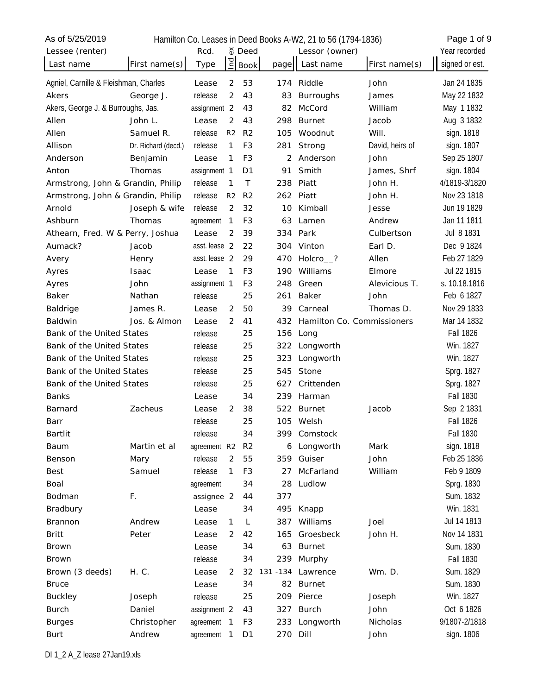| As of 5/25/2019                       |                     |               |                |                |           | Hamilton Co. Leases in Deed Books A-W2, 21 to 56 (1794-1836) |                 | Page 1 of 9      |
|---------------------------------------|---------------------|---------------|----------------|----------------|-----------|--------------------------------------------------------------|-----------------|------------------|
| Lessee (renter)                       |                     | Rcd.          |                | $\delta$ Deed  |           | Lessor (owner)                                               |                 | Year recorded    |
| Last name                             | First name(s)       | Type          | $\overline{a}$ | <b>Book</b>    | page      | Last name                                                    | First name(s)   | signed or est.   |
| Agniel, Carnille & Fleishman, Charles |                     | Lease         | 2              | 53             | 174       | Riddle                                                       | John            | Jan 24 1835      |
| Akers                                 | George J.           | release       | 2              | 43             | 83        | <b>Burroughs</b>                                             | James           | May 22 1832      |
| Akers, George J. & Burroughs, Jas.    |                     | assignment 2  |                | 43             | 82        | McCord                                                       | William         | May 11832        |
| Allen                                 | John L.             | Lease         | 2              | 43             | 298       | <b>Burnet</b>                                                | Jacob           | Aug 3 1832       |
| Allen                                 | Samuel R.           | release       | R <sub>2</sub> | R <sub>2</sub> | 105       | Woodnut                                                      | Will.           | sign. 1818       |
| Allison                               | Dr. Richard (decd.) | release       | 1              | F <sub>3</sub> | 281       | Strong                                                       | David, heirs of | sign. 1807       |
| Anderson                              | Benjamin            | Lease         | 1              | F <sub>3</sub> | 2         | Anderson                                                     | John            | Sep 25 1807      |
| Anton                                 | Thomas              | assignment 1  |                | D <sub>1</sub> | 91        | Smith                                                        | James, Shrf     | sign. 1804       |
| Armstrong, John & Grandin, Philip     |                     | release       | $\mathbf{1}$   | T              | 238       | Piatt                                                        | John H.         | 4/1819-3/1820    |
| Armstrong, John & Grandin, Philip     |                     | release       | R <sub>2</sub> | R <sub>2</sub> | 262       | Piatt                                                        | John H.         | Nov 23 1818      |
| Arnold                                | Joseph & wife       | release       | 2              | 32             | 10        | Kimball                                                      | Jesse           | Jun 19 1829      |
| Ashburn                               | Thomas              | agreement     | 1              | F <sub>3</sub> | 63        | Lamen                                                        | Andrew          | Jan 11 1811      |
| Athearn, Fred. W & Perry, Joshua      |                     | Lease         | 2              | 39             |           | 334 Park                                                     | Culbertson      | Jul 8 1831       |
| Aumack?                               | Jacob               | asst. lease 2 |                | 22             | 304       | Vinton                                                       | Earl D.         | Dec 9 1824       |
| Avery                                 | Henry               | asst. lease 2 |                | 29             | 470       | Holcro <sup>2</sup>                                          | Allen           | Feb 27 1829      |
| Ayres                                 | <b>Isaac</b>        | Lease         | 1              | F <sub>3</sub> | 190       | Williams                                                     | Elmore          | Jul 22 1815      |
| Ayres                                 | John                | assignment 1  |                | F <sub>3</sub> | 248       | Green                                                        | Alevicious T.   | s. 10.18.1816    |
| Baker                                 | Nathan              | release       |                | 25             | 261       | Baker                                                        | John            | Feb 6 1827       |
| Baldrige                              | James R.            | Lease         | 2              | 50             | 39        | Carneal                                                      | Thomas D.       | Nov 29 1833      |
| <b>Baldwin</b>                        | Jos. & Almon        | Lease         | 2              | 41             | 432       | Hamilton Co. Commissioners                                   |                 | Mar 14 1832      |
| Bank of the United States             |                     | release       |                | 25             | 156       | Long                                                         |                 | <b>Fall 1826</b> |
| Bank of the United States             |                     | release       |                | 25             | 322       | Longworth                                                    |                 | Win. 1827        |
| Bank of the United States             |                     | release       |                | 25             | 323       | Longworth                                                    |                 | Win. 1827        |
| Bank of the United States             |                     | release       |                | 25             | 545       | Stone                                                        |                 | Sprg. 1827       |
| Bank of the United States             |                     | release       |                | 25             | 627       | Crittenden                                                   |                 | Sprg. 1827       |
| <b>Banks</b>                          |                     | Lease         |                | 34             | 239       | Harman                                                       |                 | <b>Fall 1830</b> |
| Barnard                               | Zacheus             | Lease         | 2              | 38             | 522       | <b>Burnet</b>                                                | Jacob           | Sep 2 1831       |
| Barr                                  |                     | release       |                | 25             |           | 105 Welsh                                                    |                 | <b>Fall 1826</b> |
| Bartlit                               |                     | release       |                | 34             | 399.      | Comstock                                                     |                 | <b>Fall 1830</b> |
| Baum                                  | Martin et al        | agreement R2  |                | R <sub>2</sub> | 6         | Longworth                                                    | Mark            | sign. 1818       |
| Benson                                | Mary                | release       | 2              | 55             | 359       | Guiser                                                       | John            | Feb 25 1836      |
| <b>Best</b>                           | Samuel              | release       | 1              | F <sub>3</sub> | 27        | McFarland                                                    | William         | Feb 9 1809       |
| Boal                                  |                     | agreement     |                | 34             | 28        | Ludlow                                                       |                 | Sprg. 1830       |
| Bodman                                | F.                  | assignee 2    |                | 44             | 377       |                                                              |                 | Sum. 1832        |
| Bradbury                              |                     | Lease         |                | 34             | 495       | Knapp                                                        |                 | Win. 1831        |
| Brannon                               | Andrew              | Lease         | 1              | L              | 387       | Williams                                                     | Joel            | Jul 14 1813      |
| <b>Britt</b>                          | Peter               | Lease         | 2              | 42             | 165       | Groesbeck                                                    | John H.         | Nov 14 1831      |
| <b>Brown</b>                          |                     | Lease         |                | 34             | 63        | <b>Burnet</b>                                                |                 | Sum. 1830        |
| <b>Brown</b>                          |                     | release       |                | 34             | 239       | Murphy                                                       |                 | <b>Fall 1830</b> |
| Brown (3 deeds)                       | H. C.               | Lease         | 2              | 32             | 131 - 134 | Lawrence                                                     | Wm. D.          | Sum. 1829        |
| <b>Bruce</b>                          |                     | Lease         |                | 34             | 82        | <b>Burnet</b>                                                |                 | Sum. 1830        |
| <b>Buckley</b>                        | Joseph              | release       |                | 25             | 209       | Pierce                                                       | Joseph          | Win. 1827        |
| <b>Burch</b>                          | Daniel              | assignment 2  |                | 43             | 327       | <b>Burch</b>                                                 | John            | Oct 6 1826       |
| <b>Burges</b>                         | Christopher         | agreement     | $\mathbf{1}$   | F <sub>3</sub> | 233       | Longworth                                                    | Nicholas        | 9/1807-2/1818    |
| Burt                                  | Andrew              | agreement     | $\mathbf{1}$   | D <sub>1</sub> | 270       | Dill                                                         | John            | sign. 1806       |
|                                       |                     |               |                |                |           |                                                              |                 |                  |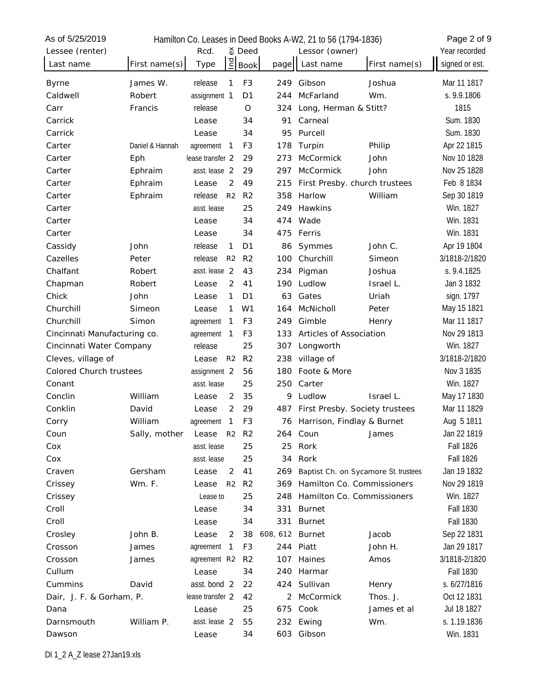| As of 5/25/2019                |                 |                           |                |                 | Hamilton Co. Leases in Deed Books A-W2, 21 to 56 (1794-1836) |               | Page 2 of 9      |
|--------------------------------|-----------------|---------------------------|----------------|-----------------|--------------------------------------------------------------|---------------|------------------|
| Lessee (renter)                |                 | Rcd.                      | จั Deed        |                 | Lessor (owner)                                               |               | Year recorded    |
| Last name                      | First name(s)   | Ind<br>Type               | <b>Book</b>    | page            | Last name                                                    | First name(s) | signed or est.   |
| <b>Byrne</b>                   | James W.        | release<br>$\mathbf{1}$   | F <sub>3</sub> | 249             | Gibson                                                       | Joshua        | Mar 11 1817      |
| Caldwell                       | Robert          | assignment 1              | D <sub>1</sub> | 244             | McFarland                                                    | Wm.           | s. 9.9.1806      |
| Carr                           | Francis         | release                   | O              | 324             | Long, Herman & Stitt?                                        |               | 1815             |
| Carrick                        |                 | Lease                     | 34             | 91              | Carneal                                                      |               | Sum. 1830        |
| Carrick                        |                 | Lease                     | 34             | 95              | Purcell                                                      |               | Sum. 1830        |
| Carter                         | Daniel & Hannah | agreement<br>$\mathbf{1}$ | F <sub>3</sub> | 178             | Turpin                                                       | Philip        | Apr 22 1815      |
| Carter                         | Eph             | lease transfer 2          | 29             | 273             | McCormick                                                    | John          | Nov 10 1828      |
| Carter                         | Ephraim         | asst. lease 2             | 29             | 297             | McCormick                                                    | John          | Nov 25 1828      |
| Carter                         | Ephraim         | 2<br>Lease                | 49             | 215             | First Presby. church trustees                                |               | Feb 8 1834       |
| Carter                         | Ephraim         | release<br>R <sub>2</sub> | R <sub>2</sub> | 358             | Harlow                                                       | William       | Sep 30 1819      |
| Carter                         |                 | asst. lease               | 25             | 249             | Hawkins                                                      |               | Win. 1827        |
| Carter                         |                 | Lease                     | 34             | 474             | Wade                                                         |               | Win. 1831        |
| Carter                         |                 | Lease                     | 34             | 475             | Ferris                                                       |               | Win. 1831        |
| Cassidy                        | John            | release<br>$\mathbf{1}$   | D <sub>1</sub> | 86              | Symmes                                                       | John C.       | Apr 19 1804      |
| Cazelles                       | Peter           | release<br>R <sub>2</sub> | R <sub>2</sub> | 100             | Churchill                                                    | Simeon        | 3/1818-2/1820    |
| Chalfant                       | Robert          | asst. lease 2             | 43             | 234             | Pigman                                                       | Joshua        | s. 9.4.1825      |
| Chapman                        | Robert          | 2<br>Lease                | 41             | 190             | Ludlow                                                       | Israel L.     | Jan 3 1832       |
| Chick                          | John            | 1<br>Lease                | D <sub>1</sub> | 63              | Gates                                                        | Uriah         | sign. 1797       |
| Churchill                      | Simeon          | 1<br>Lease                | W <sub>1</sub> | 164             | McNicholl                                                    | Peter         | May 15 1821      |
| Churchill                      | Simon           | 1<br>agreement            | F <sub>3</sub> | 249             | Gimble                                                       | Henry         | Mar 11 1817      |
| Cincinnati Manufacturing co.   |                 | 1<br>agreement            | F <sub>3</sub> | 133             | Articles of Association                                      |               | Nov 29 1813      |
| Cincinnati Water Company       |                 | release                   | 25             | 307             | Longworth                                                    |               | Win. 1827        |
| Cleves, village of             |                 | R <sub>2</sub><br>Lease   | R <sub>2</sub> | 238             | village of                                                   |               | 3/1818-2/1820    |
| <b>Colored Church trustees</b> |                 | assignment 2              | 56             | 180             | Foote & More                                                 |               | Nov 3 1835       |
| Conant                         |                 | asst. lease               | 25             | 250             | Carter                                                       |               | Win. 1827        |
| Conclin                        | William         | 2<br>Lease                | 35             | 9               | Ludlow                                                       | Israel L.     | May 17 1830      |
| Conklin                        | David           | 2<br>Lease                | 29             | 487             | First Presby. Society trustees                               |               | Mar 11 1829      |
| Corry                          | William         | 1<br>agreement            | F <sub>3</sub> | 76              | Harrison, Findlay & Burnet                                   |               | Aug 5 1811       |
| Coun                           | Sally, mother   | Lease                     | R2 R2          |                 | 264 Coun                                                     | James         | Jan 22 1819      |
| Cox                            |                 | asst. lease               | 25             | 25              | Rork                                                         |               | <b>Fall 1826</b> |
| Cox                            |                 | asst. lease               | 25             |                 | 34 Rork                                                      |               | <b>Fall 1826</b> |
| Craven                         | Gersham         | 2<br>Lease                | 41             | 269             | Baptist Ch. on Sycamore St. trustees                         |               | Jan 19 1832      |
| Crissey                        | <b>Wm. F.</b>   | R <sub>2</sub><br>Lease   | R <sub>2</sub> | 369             | Hamilton Co. Commissioners                                   |               | Nov 29 1819      |
| Crissey                        |                 | Lease to                  | 25             | 248             | Hamilton Co. Commissioners                                   |               | Win. 1827        |
| Croll                          |                 | Lease                     | 34             | 331             | <b>Burnet</b>                                                |               | <b>Fall 1830</b> |
| Croll                          |                 | Lease                     | 34             | 331             | <b>Burnet</b>                                                |               | <b>Fall 1830</b> |
| Crosley                        | John B.         | Lease<br>2                | 38             | 608, 612 Burnet |                                                              | Jacob         | Sep 22 1831      |
| Crosson                        | James           | agreement<br>$\mathbf{1}$ | F3             |                 | 244 Piatt                                                    | John H.       | Jan 29 1817      |
| Crosson                        | James           | agreement R2 R2           |                |                 | 107 Haines                                                   | Amos          | 3/1818-2/1820    |
| Cullum                         |                 | Lease                     | 34             | 240             | Harmar                                                       |               | <b>Fall 1830</b> |
| Cummins                        | David           | asst. bond 2              | 22             |                 | 424 Sullivan                                                 | Henry         | s. 6/27/1816     |
| Dair, J. F. & Gorham, P.       |                 | lease transfer 2          | 42             | 2               | McCormick                                                    | Thos. J.      | Oct 12 1831      |
| Dana                           |                 | Lease                     | 25             |                 | 675 Cook                                                     | James et al   | Jul 18 1827      |
| Darnsmouth                     | William P.      | asst. lease 2             | 55             |                 | 232 Ewing                                                    | Wm.           | s. 1.19.1836     |
| Dawson                         |                 | Lease                     | 34             |                 | 603 Gibson                                                   |               | Win. 1831        |
|                                |                 |                           |                |                 |                                                              |               |                  |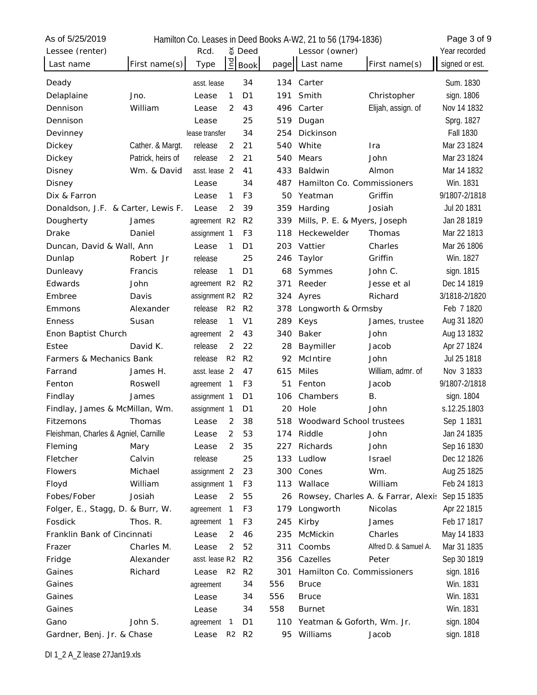| As of 5/25/2019                       |                   |                |                |                               |      | Hamilton Co. Leases in Deed Books A-W2, 21 to 56 (1794-1836) |                                     | Page 3 of 9      |
|---------------------------------------|-------------------|----------------|----------------|-------------------------------|------|--------------------------------------------------------------|-------------------------------------|------------------|
| Lessee (renter)                       |                   | Rcd.           |                | จั Deed                       |      | Lessor (owner)                                               |                                     | Year recorded    |
| Last name                             | First name(s)     | Type           | P <sub>1</sub> | <b>Book</b>                   | page | Last name                                                    | First name(s)                       | signed or est.   |
| Deady                                 |                   | asst. lease    |                | 34                            | 134  | Carter                                                       |                                     | Sum. 1830        |
| Delaplaine                            | Jno.              | Lease          | 1              | D1                            | 191  | Smith                                                        | Christopher                         | sign. 1806       |
| Dennison                              | William           | Lease          | 2              | 43                            | 496  | Carter                                                       | Elijah, assign. of                  | Nov 14 1832      |
| Dennison                              |                   | Lease          |                | 25                            | 519  | Dugan                                                        |                                     | Sprg. 1827       |
| Devinney                              |                   | lease transfer |                | 34                            | 254  | Dickinson                                                    |                                     | <b>Fall 1830</b> |
| Dickey                                | Cather. & Margt.  | release        | 2              | 21                            | 540  | White                                                        | Ira                                 | Mar 23 1824      |
| Dickey                                | Patrick, heirs of | release        | 2              | 21                            | 540  | Mears                                                        | John                                | Mar 23 1824      |
| Disney                                | Wm. & David       | asst. lease 2  |                | 41                            | 433  | Baldwin                                                      | Almon                               | Mar 14 1832      |
| Disney                                |                   | Lease          |                | 34                            | 487  | Hamilton Co. Commissioners                                   |                                     | Win. 1831        |
| Dix & Farron                          |                   | Lease          | 1              | F <sub>3</sub>                | 50   | Yeatman                                                      | Griffin                             | 9/1807-2/1818    |
| Donaldson, J.F. & Carter, Lewis F.    |                   | Lease          | 2              | 39                            | 359  | Harding                                                      | Josiah                              | Jul 20 1831      |
| Dougherty                             | James             | agreement R2   |                | R <sub>2</sub>                | 339  | Mills, P. E. & Myers, Joseph                                 |                                     | Jan 28 1819      |
| <b>Drake</b>                          | Daniel            | assignment 1   |                | F3                            | 118  | Heckewelder                                                  | Thomas                              | Mar 22 1813      |
| Duncan, David & Wall, Ann             |                   | Lease          | $\mathbf{1}$   | D <sub>1</sub>                | 203  | Vattier                                                      | Charles                             | Mar 26 1806      |
| Dunlap                                | Robert Jr         | release        |                | 25                            | 246  | Taylor                                                       | Griffin                             | Win. 1827        |
| Dunleavy                              | Francis           | release        | 1              | D <sub>1</sub>                | 68   | Symmes                                                       | John C.                             | sign. 1815       |
| Edwards                               | John              | agreement R2   |                | R <sub>2</sub>                | 371  | Reeder                                                       | Jesse et al                         | Dec 14 1819      |
| Embree                                | Davis             | assignment R2  |                | R <sub>2</sub>                | 324  | Ayres                                                        | Richard                             | 3/1818-2/1820    |
| Emmons                                | Alexander         | release        | R <sub>2</sub> | R <sub>2</sub>                | 378  | Longworth & Ormsby                                           |                                     | Feb 7 1820       |
| <b>Enness</b>                         | Susan             | release        | 1              | V <sub>1</sub>                | 289  | Keys                                                         | James, trustee                      | Aug 31 1820      |
| Enon Baptist Church                   |                   | agreement      | 2              | 43                            | 340  | Baker                                                        | John                                | Aug 13 1832      |
| Estee                                 | David K.          | release        | 2              | 22                            | 28   | Baymiller                                                    | Jacob                               | Apr 27 1824      |
| Farmers & Mechanics Bank              |                   | release        | R <sub>2</sub> | R <sub>2</sub>                | 92   | McIntire                                                     | John                                | Jul 25 1818      |
| Farrand                               | James H.          | asst. lease 2  |                | 47                            | 615  | <b>Miles</b>                                                 | William, admr. of                   | Nov 3 1833       |
| Fenton                                | Roswell           | agreement      | $\mathbf{1}$   | F3                            | 51   | Fenton                                                       | Jacob                               | 9/1807-2/1818    |
| Findlay                               | James             | assignment 1   |                | D <sub>1</sub>                | 106  | Chambers                                                     | В.                                  | sign. 1804       |
| Findlay, James & McMillan, Wm.        |                   | assignment 1   |                | D <sub>1</sub>                | 20   | Hole                                                         | John                                | s.12.25.1803     |
| Fitzemons                             | Thomas            | Lease          | 2              | 38                            | 518  | Woodward School trustees                                     |                                     | Sep 1 1831       |
| Fleishman, Charles & Agniel, Carnille |                   | Lease          | 2              | 53                            |      | 174 Riddle                                                   | John                                | Jan 24 1835      |
| Fleming                               | Mary              | Lease          | 2              | 35                            | 227  | Richards                                                     | John                                | Sep 16 1830      |
| Fletcher                              | Calvin            | release        |                | 25                            | 133  | Ludlow                                                       | Israel                              | Dec 12 1826      |
| <b>Flowers</b>                        | Michael           | assignment 2   |                | 23                            | 300  | Cones                                                        | Wm.                                 | Aug 25 1825      |
| Floyd                                 | William           | assignment 1   |                | F <sub>3</sub>                | 113  | Wallace                                                      | William                             | Feb 24 1813      |
| Fobes/Fober                           | Josiah            | Lease          | 2              | 55                            | 26   |                                                              | Rowsey, Charles A. & Farrar, Alexis | Sep 15 1835      |
| Folger, E., Stagg, D. & Burr, W.      |                   | agreement      | $\mathbf{1}$   | F3                            | 179  | Longworth                                                    | Nicolas                             | Apr 22 1815      |
| Fosdick                               | Thos. R.          | agreement      | $\mathbf 1$    | F <sub>3</sub>                | 245  | Kirby                                                        | James                               | Feb 17 1817      |
| Franklin Bank of Cincinnati           |                   | Lease          | 2              | 46                            | 235  | McMickin                                                     | Charles                             | May 14 1833      |
| Frazer                                | Charles M.        | Lease          | 2              | 52                            | 311  | Coombs                                                       | Alfred D. & Samuel A.               | Mar 31 1835      |
| Fridge                                | Alexander         | asst. lease R2 |                | R <sub>2</sub>                | 356  | Cazelles                                                     | Peter                               | Sep 30 1819      |
| Gaines                                | Richard           | Lease          | R <sub>2</sub> | R <sub>2</sub>                | 301  | Hamilton Co. Commissioners                                   |                                     | sign. 1816       |
| Gaines                                |                   | agreement      |                | 34                            | 556  | <b>Bruce</b>                                                 |                                     | Win. 1831        |
| Gaines                                |                   | Lease          |                | 34                            | 556  | <b>Bruce</b>                                                 |                                     | Win. 1831        |
| Gaines                                |                   | Lease          |                | 34                            | 558  | <b>Burnet</b>                                                |                                     | Win. 1831        |
| Gano                                  | John S.           | agreement      | $\sqrt{1}$     | D <sub>1</sub>                | 110  | Yeatman & Goforth, Wm. Jr.                                   |                                     | sign. 1804       |
| Gardner, Benj. Jr. & Chase            |                   | Lease          |                | R <sub>2</sub> R <sub>2</sub> |      | 95 Williams                                                  | Jacob                               | sign. 1818       |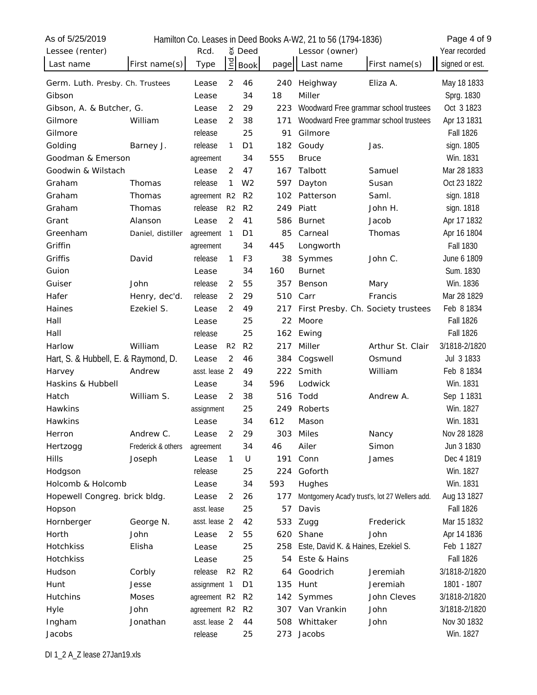| จ์ Deed<br>Lessee (renter)<br>Rcd.<br>Lessor (owner)                                                                    | Year recorded    |
|-------------------------------------------------------------------------------------------------------------------------|------------------|
| $\overline{E}$<br>First name(s)<br>Type<br><b>Book</b><br>Last name<br>First name(s)<br>Last name<br>page               | signed or est.   |
| $\overline{2}$<br>46<br>240<br>Heighway<br>Eliza A.<br>Germ. Luth. Presby. Ch. Trustees<br>Lease                        | May 18 1833      |
| 18<br>Miller<br>Gibson<br>34<br>Lease                                                                                   | Sprg. 1830       |
| 29<br>223<br>Woodward Free grammar school trustees<br>Gibson, A. & Butcher, G.<br>2<br>Lease                            | Oct 3 1823       |
| Woodward Free grammar school trustees<br>2<br>38<br>171<br>Gilmore<br>William<br>Lease                                  | Apr 13 1831      |
| 25<br>91<br>Gilmore<br>Gilmore<br>release                                                                               | <b>Fall 1826</b> |
| Golding<br>release<br>182<br>Barney J.<br>1<br>D <sub>1</sub><br>Goudy<br>Jas.                                          | sign. 1805       |
| Goodman & Emerson<br>34<br>555<br><b>Bruce</b><br>agreement                                                             | Win. 1831        |
| Goodwin & Wilstach<br>$\overline{2}$<br>47<br>Talbott<br>Samuel<br>Lease<br>167                                         | Mar 28 1833      |
| release<br>1<br>W <sub>2</sub><br>597<br>Graham<br>Thomas<br>Susan<br>Dayton                                            | Oct 23 1822      |
| Saml.<br>Graham<br>Thomas<br>agreement R2<br>R <sub>2</sub><br>102<br>Patterson                                         | sign. 1818       |
| Graham<br>release<br>249<br>Piatt<br>John H.<br>Thomas<br>R <sub>2</sub><br>R <sub>2</sub>                              | sign. 1818       |
| $\overline{2}$<br>41<br>Grant<br>Alanson<br>586<br><b>Burnet</b><br>Jacob<br>Lease                                      | Apr 17 1832      |
| Greenham<br>85<br>Daniel, distiller<br>D <sub>1</sub><br>Carneal<br>Thomas<br>agreement<br>$\mathbf{1}$                 | Apr 16 1804      |
| Griffin<br>445<br>34<br>Longworth<br>agreement                                                                          | <b>Fall 1830</b> |
| Griffis<br>release<br>David<br>1<br>F <sub>3</sub><br>38<br>Symmes<br>John C.                                           | June 6 1809      |
| Guion<br>160<br><b>Burnet</b><br>34<br>Lease                                                                            | Sum. 1830        |
| Guiser<br>release<br>55<br>357<br>John<br>2<br>Benson<br>Mary                                                           | Win. 1836        |
| Hafer<br>release<br>$\overline{2}$<br>29<br>510<br>Carr<br>Francis<br>Henry, dec'd.                                     | Mar 28 1829      |
| Ezekiel S.<br>Haines<br>2<br>49<br>217<br>First Presby. Ch. Society trustees<br>Lease                                   | Feb 8 1834       |
| 25<br>Moore<br>Hall<br>22<br>Lease                                                                                      | <b>Fall 1826</b> |
| Hall<br>release<br>25<br>162<br>Ewing                                                                                   | <b>Fall 1826</b> |
| Harlow<br>William<br>R <sub>2</sub><br>R <sub>2</sub><br>217<br>Miller<br>Arthur St. Clair<br>Lease                     | 3/1818-2/1820    |
| Hart, S. & Hubbell, E. & Raymond, D.<br>2<br>46<br>384<br>Cogswell<br>Osmund<br>Lease                                   | Jul 3 1833       |
| Andrew<br>222<br>Smith<br>William<br>Harvey<br>asst. lease 2<br>49                                                      | Feb 8 1834       |
| Haskins & Hubbell<br>596<br>Lodwick<br>34<br>Lease                                                                      | Win. 1831        |
| 516<br>Hatch<br>William S.<br>2<br>38<br>Todd<br>Andrew A.<br>Lease                                                     | Sep 1 1831       |
| Hawkins<br>Roberts<br>assignment<br>25<br>249                                                                           | Win. 1827        |
| 34<br>612<br>Hawkins<br>Mason<br>Lease                                                                                  | Win. 1831        |
| $\overline{2}$<br>Andrew C.<br>29<br>303<br>Miles<br>Herron<br>Lease<br>Nancy                                           | Nov 28 1828      |
| Frederick & others<br>34<br>46<br>Ailer<br>Simon<br>Hertzogg<br>agreement                                               | Jun 3 1830       |
| <b>Hills</b><br>U<br>191<br>Conn<br>Lease<br>1<br>James<br>Joseph                                                       | Dec 4 1819       |
| Goforth<br>release<br>25<br>224<br>Hodgson                                                                              | Win. 1827        |
| Holcomb & Holcomb<br>34<br>593<br>Hughes<br>Lease                                                                       | Win. 1831        |
| $\overline{2}$<br>26<br>Hopewell Congreg. brick bldg.<br>177<br>Montgomery Acad'y trust's, lot 27 Wellers add.<br>Lease | Aug 13 1827      |
| asst. lease<br>25<br>57<br>Davis<br>Hopson                                                                              | <b>Fall 1826</b> |
| asst. lease 2<br>Hornberger<br>George N.<br>42<br>533<br>Zugg<br>Frederick                                              | Mar 15 1832      |
| Horth<br>John<br>$\overline{2}$<br>55<br>620<br>John<br>Shane<br>Lease                                                  | Apr 14 1836      |
| Hotchkiss<br>25<br>Este, David K. & Haines, Ezekiel S.<br>Elisha<br>258<br>Lease                                        | Feb 1 1827       |
| Este & Hains<br>Hotchkiss<br>25<br>54<br>Lease                                                                          | <b>Fall 1826</b> |
| release<br>Goodrich<br>Hudson<br>Corbly<br>R <sub>2</sub><br>R <sub>2</sub><br>Jeremiah<br>64                           | 3/1818-2/1820    |
| Jesse<br>assignment 1<br>D <sub>1</sub><br>135<br>Hunt<br>Jeremiah<br>Hunt                                              | 1801 - 1807      |
| John Cleves<br><b>Hutchins</b><br><b>Moses</b><br>agreement R2 R2<br>Symmes<br>142                                      | 3/1818-2/1820    |
| John<br>R <sub>2</sub><br>Van Vrankin<br>John<br>Hyle<br>agreement R2<br>307                                            | 3/1818-2/1820    |
| Jonathan<br>John<br>Ingham<br>asst. lease 2<br>44<br>508<br>Whittaker                                                   | Nov 30 1832      |
| Jacobs<br>release<br>Jacobs<br>25<br>273                                                                                | Win. 1827        |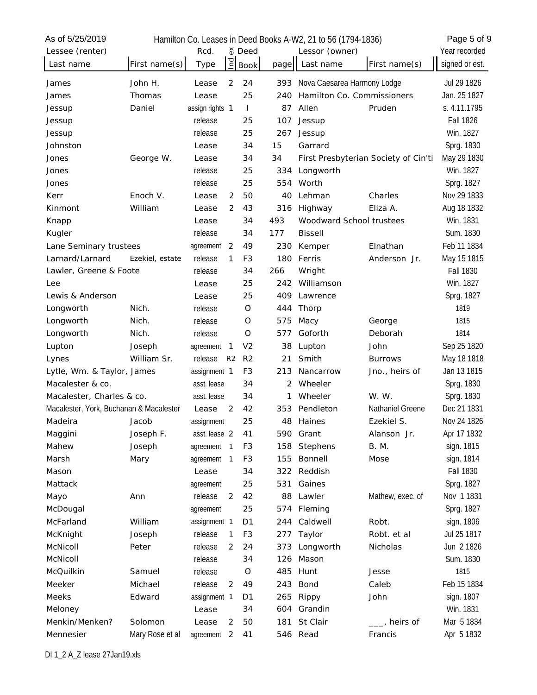| As of 5/25/2019                         |                 |                 |                |                |      | Hamilton Co. Leases in Deed Books A-W2, 21 to 56 (1794-1836) |                                      | Page 5 of 9      |
|-----------------------------------------|-----------------|-----------------|----------------|----------------|------|--------------------------------------------------------------|--------------------------------------|------------------|
| Lessee (renter)                         |                 | Rcd.            |                | จั Deed        |      | Lessor (owner)                                               |                                      | Year recorded    |
| Last name                               | First name(s)   | Type            | pa             | <b>Book</b>    | page | Last name                                                    | First name(s)                        | signed or est.   |
| James                                   | John H.         | Lease           | 2              | 24             | 393  | Nova Caesarea Harmony Lodge                                  |                                      | Jul 29 1826      |
| James                                   | Thomas          | Lease           |                | 25             | 240  | Hamilton Co. Commissioners                                   |                                      | Jan. 25 1827     |
| Jessup                                  | Daniel          | assign rights 1 |                | $\mathbf{I}$   | 87   | Allen                                                        | Pruden                               | s. 4.11.1795     |
| Jessup                                  |                 | release         |                | 25             | 107  | Jessup                                                       |                                      | <b>Fall 1826</b> |
| Jessup                                  |                 | release         |                | 25             | 267  | Jessup                                                       |                                      | Win. 1827        |
| Johnston                                |                 | Lease           |                | 34             | 15   | Garrard                                                      |                                      | Sprg. 1830       |
| Jones                                   | George W.       | Lease           |                | 34             | 34   |                                                              | First Presbyterian Society of Cin'ti | May 29 1830      |
| Jones                                   |                 | release         |                | 25             | 334  | Longworth                                                    |                                      | Win. 1827        |
| Jones                                   |                 | release         |                | 25             | 554  | Worth                                                        |                                      | Sprg. 1827       |
| Kerr                                    | Enoch V.        | Lease           | 2              | 50             | 40   | Lehman                                                       | Charles                              | Nov 29 1833      |
| Kinmont                                 | William         | Lease           | 2              | 43             | 316  | Highway                                                      | Eliza A.                             | Aug 18 1832      |
| Knapp                                   |                 | Lease           |                | 34             | 493  | Woodward School trustees                                     |                                      | Win. 1831        |
| Kugler                                  |                 | release         |                | 34             | 177  | <b>Bissell</b>                                               |                                      | Sum. 1830        |
| Lane Seminary trustees                  |                 | agreement       | 2              | 49             | 230  | Kemper                                                       | Elnathan                             | Feb 11 1834      |
| Larnard/Larnard                         | Ezekiel, estate | release         | 1              | F <sub>3</sub> | 180  | Ferris                                                       | Anderson Jr.                         | May 15 1815      |
| Lawler, Greene & Foote                  |                 | release         |                | 34             | 266  | Wright                                                       |                                      | <b>Fall 1830</b> |
| Lee                                     |                 | Lease           |                | 25             | 242  | Williamson                                                   |                                      | Win. 1827        |
| Lewis & Anderson                        |                 | Lease           |                | 25             | 409  | Lawrence                                                     |                                      | Sprg. 1827       |
| Longworth                               | Nich.           | release         |                | O              | 444  | Thorp                                                        |                                      | 1819             |
| Longworth                               | Nich.           | release         |                | O              | 575  | Масу                                                         | George                               | 1815             |
| Longworth                               | Nich.           | release         |                | O              | 577  | Goforth                                                      | Deborah                              | 1814             |
| Lupton                                  | Joseph          | agreement       | $\mathbf{1}$   | V <sub>2</sub> | 38   | Lupton                                                       | John                                 | Sep 25 1820      |
| Lynes                                   | William Sr.     | release         | R <sub>2</sub> | R <sub>2</sub> | 21   | Smith                                                        | <b>Burrows</b>                       | May 18 1818      |
| Lytle, Wm. & Taylor, James              |                 | assignment 1    |                | F <sub>3</sub> | 213  | Nancarrow                                                    | Jno., heirs of                       | Jan 13 1815      |
| Macalester & co.                        |                 | asst. lease     |                | 34             | 2    | Wheeler                                                      |                                      | Sprg. 1830       |
| Macalester, Charles & co.               |                 | asst. lease     |                | 34             | 1    | Wheeler                                                      | W. W.                                | Sprg. 1830       |
| Macalester, York, Buchanan & Macalester |                 | Lease           | $\overline{2}$ | 42             | 353  | Pendleton                                                    | Nathaniel Greene                     | Dec 21 1831      |
| Madeira                                 | Jacob           | assignment      |                | 25             | 48   | Haines                                                       | Ezekiel S.                           | Nov 24 1826      |
| Maggini                                 | Joseph F.       | asst. lease 2   |                | 41             | 590  | Grant                                                        | Alanson Jr.                          | Apr 17 1832      |
| Mahew                                   | Joseph          | agreement       | $\mathbf{1}$   | F <sub>3</sub> | 158  | Stephens                                                     | <b>B.</b> M.                         | sign. 1815       |
| Marsh                                   | Mary            | agreement       | $\mathbf{1}$   | F <sub>3</sub> | 155  | Bonnell                                                      | Mose                                 | sign. 1814       |
| Mason                                   |                 | Lease           |                | 34             | 322  | Reddish                                                      |                                      | <b>Fall 1830</b> |
| Mattack                                 |                 | agreement       |                | 25             | 531  | Gaines                                                       |                                      | Sprg. 1827       |
| Mayo                                    | Ann             | release         | $\overline{2}$ | 42             | 88   | Lawler                                                       | Mathew, exec. of                     | Nov 1 1831       |
| McDougal                                |                 | agreement       |                | 25             | 574  | Fleming                                                      |                                      | Sprg. 1827       |
| McFarland                               | William         | assignment 1    |                | D <sub>1</sub> | 244  | Caldwell                                                     | Robt.                                | sign. 1806       |
| McKnight                                | Joseph          | release         | $\mathbf{1}$   | F <sub>3</sub> | 277  | Taylor                                                       | Robt. et al                          | Jul 25 1817      |
| McNicoll                                | Peter           | release         | 2              | 24             | 373  | Longworth                                                    | Nicholas                             | Jun 2 1826       |
| McNicoll                                |                 | release         |                | 34             | 126  | Mason                                                        |                                      | Sum. 1830        |
| McQuilkin                               | Samuel          | release         |                | $\mathsf O$    | 485  | Hunt                                                         | Jesse                                | 1815             |
| Meeker                                  | Michael         | release         | 2              | 49             | 243  | Bond                                                         | Caleb                                | Feb 15 1834      |
| Meeks                                   | Edward          | assignment 1    |                | D1             | 265  | Rippy                                                        | John                                 | sign. 1807       |
| Meloney                                 |                 | Lease           |                | 34             | 604  | Grandin                                                      |                                      | Win. 1831        |
| Menkin/Menken?                          | Solomon         | Lease           | 2              | 50             | 181  | St Clair                                                     | heirs of                             | Mar 5 1834       |
| Mennesier                               | Mary Rose et al | agreement       | 2              | 41             | 546  | Read                                                         | Francis                              | Apr 5 1832       |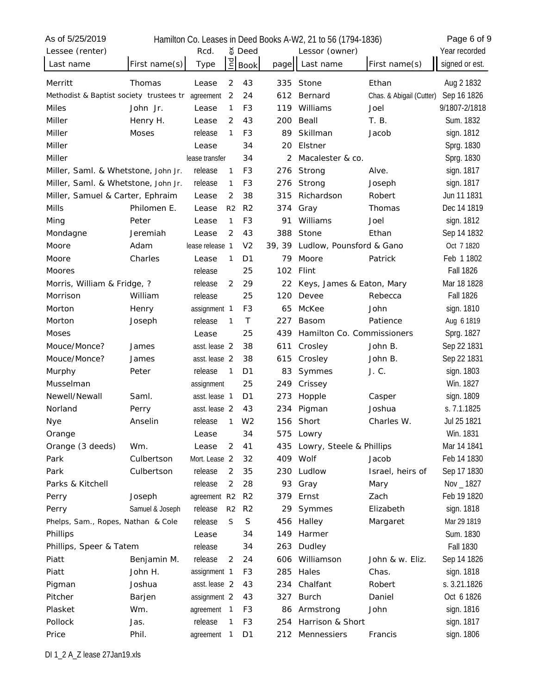| As of 5/25/2019                         |                 |                 |                |                |        | Hamilton Co. Leases in Deed Books A-W2, 21 to 56 (1794-1836) |                          | Page 6 of 9      |
|-----------------------------------------|-----------------|-----------------|----------------|----------------|--------|--------------------------------------------------------------|--------------------------|------------------|
| Lessee (renter)                         |                 | Rcd.            |                | δ Deed         |        | Lessor (owner)                                               |                          | Year recorded    |
| Last name                               | First name(s)   | Type            | Ind            | <b>Book</b>    | page   | Last name                                                    | First name(s)            | signed or est.   |
| Merritt                                 | Thomas          | Lease           | 2              | 43             | 335    | Stone                                                        | Ethan                    | Aug 2 1832       |
| Methodist & Baptist society trustees tr |                 | agreement       | 2              | 24             | 612    | Bernard                                                      | Chas. & Abigail (Cutter) | Sep 16 1826      |
| <b>Miles</b>                            | John Jr.        | Lease           | $\mathbf{1}$   | F <sub>3</sub> | 119    | Williams                                                     | Joel                     | 9/1807-2/1818    |
| Miller                                  | Henry H.        | Lease           | 2              | 43             | 200    | Beall                                                        | T. B.                    | Sum. 1832        |
| Miller                                  | <b>Moses</b>    | release         | 1              | F <sub>3</sub> | 89     | Skillman                                                     | Jacob                    | sign. 1812       |
| Miller                                  |                 | Lease           |                | 34             | 20     | Elstner                                                      |                          | Sprg. 1830       |
| Miller                                  |                 | lease transfer  |                | 34             | 2      | Macalester & co.                                             |                          | Sprg. 1830       |
| Miller, Saml. & Whetstone, John Jr.     |                 | release         | 1              | F <sub>3</sub> | 276    | Strong                                                       | Alve.                    | sign. 1817       |
| Miller, Saml. & Whetstone, John Jr.     |                 | release         | $\mathbf{1}$   | F <sub>3</sub> | 276    | Strong                                                       | Joseph                   | sign. 1817       |
| Miller, Samuel & Carter, Ephraim        |                 | Lease           | 2              | 38             | 315    | Richardson                                                   | Robert                   | Jun 11 1831      |
| Mills                                   | Philomen E.     | Lease           | R <sub>2</sub> | R <sub>2</sub> | 374    | Gray                                                         | Thomas                   | Dec 14 1819      |
| Ming                                    | Peter           | Lease           | $\mathbf{1}$   | F <sub>3</sub> | 91     | Williams                                                     | Joel                     | sign. 1812       |
| Mondagne                                | Jeremiah        | Lease           | 2              | 43             | 388    | Stone                                                        | Ethan                    | Sep 14 1832      |
| Moore                                   | Adam            | lease release 1 |                | V <sub>2</sub> | 39, 39 | Ludlow, Pounsford & Gano                                     |                          | Oct 7 1820       |
| Moore                                   | Charles         | Lease           | 1              | D <sub>1</sub> | 79     | Moore                                                        | Patrick                  | Feb 1 1802       |
| Moores                                  |                 | release         |                | 25             | 102    | Flint                                                        |                          | <b>Fall 1826</b> |
| Morris, William & Fridge, ?             |                 | release         | $\overline{2}$ | 29             | 22     | Keys, James & Eaton, Mary                                    |                          | Mar 18 1828      |
| Morrison                                | William         | release         |                | 25             | 120    | Devee                                                        | Rebecca                  | <b>Fall 1826</b> |
| Morton                                  | Henry           | assignment 1    |                | F <sub>3</sub> | 65     | McKee                                                        | John                     | sign. 1810       |
| Morton                                  | Joseph          | release         | $\mathbf{1}$   | T              | 227    | Basom                                                        | Patience                 | Aug 6 1819       |
| Moses                                   |                 | Lease           |                | 25             | 439    | Hamilton Co. Commissioners                                   |                          | Sprg. 1827       |
| Mouce/Monce?                            | James           | asst. lease 2   |                | 38             | 611    | Crosley                                                      | John B.                  | Sep 22 1831      |
| Mouce/Monce?                            | James           | asst. lease 2   |                | 38             | 615    | Crosley                                                      | John B.                  | Sep 22 1831      |
| Murphy                                  | Peter           | release         | $\mathbf{1}$   | D <sub>1</sub> | 83     | Symmes                                                       | J. C.                    | sign. 1803       |
| Musselman                               |                 | assignment      |                | 25             | 249    | Crissey                                                      |                          | Win. 1827        |
| Newell/Newall                           | Saml.           | asst. lease 1   |                | D <sub>1</sub> | 273    | Hopple                                                       | Casper                   | sign. 1809       |
| Norland                                 | Perry           | asst. lease 2   |                | 43             | 234    | Pigman                                                       | Joshua                   | s. 7.1.1825      |
| Nye                                     | Anselin         | release         | 1              | W <sub>2</sub> | 156    | Short                                                        | Charles W.               | Jul 25 1821      |
| Orange                                  |                 | Lease           |                | 34             | 575    | Lowry                                                        |                          | Win. 1831        |
| Orange (3 deeds)                        | Wm.             | Lease           | 2              | 41             | 435    | Lowry, Steele & Phillips                                     |                          | Mar 14 1841      |
| Park                                    | Culbertson      | Mort. Lease 2   |                | 32             | 409    | Wolf                                                         | Jacob                    | Feb 14 1830      |
| Park                                    | Culbertson      | release         | 2              | 35             | 230    | Ludlow                                                       | Israel, heirs of         | Sep 17 1830      |
| Parks & Kitchell                        |                 | release         | $\overline{2}$ | 28             | 93     | Gray                                                         | Mary                     | Nov _ 1827       |
| Perry                                   | Joseph          | agreement R2    |                | R <sub>2</sub> | 379    | Ernst                                                        | Zach                     | Feb 19 1820      |
| Perry                                   | Samuel & Joseph | release         | R <sub>2</sub> | R <sub>2</sub> | 29     | Symmes                                                       | Elizabeth                | sign. 1818       |
| Phelps, Sam., Ropes, Nathan & Cole      |                 | release         | S              | $\mathsf S$    | 456    | Halley                                                       | Margaret                 | Mar 29 1819      |
| Phillips                                |                 | Lease           |                | 34             | 149    | Harmer                                                       |                          | Sum. 1830        |
| Phillips, Speer & Tatem                 |                 | release         |                | 34             | 263    | Dudley                                                       |                          | <b>Fall 1830</b> |
| Piatt                                   | Benjamin M.     | release         | 2              | 24             | 606    | Williamson                                                   | John & w. Eliz.          | Sep 14 1826      |
| Piatt                                   | John H.         | assignment 1    |                | F3             | 285    | Hales                                                        | Chas.                    | sign. 1818       |
| Pigman                                  | Joshua          | asst. lease 2   |                | 43             | 234    | Chalfant                                                     | Robert                   | s. 3.21.1826     |
| Pitcher                                 | Barjen          | assignment 2    |                | 43             | 327    | <b>Burch</b>                                                 | Daniel                   | Oct 6 1826       |
| Plasket                                 | Wm.             | agreement 1     |                | F3             | 86     | Armstrong                                                    | John                     | sign. 1816       |
| Pollock                                 | Jas.            | release         | 1              | F3             | 254    | Harrison & Short                                             |                          | sign. 1817       |
| Price                                   | Phil.           | agreement       | $\mathbf{1}$   | D <sub>1</sub> | 212    | Mennessiers                                                  | Francis                  | sign. 1806       |
|                                         |                 |                 |                |                |        |                                                              |                          |                  |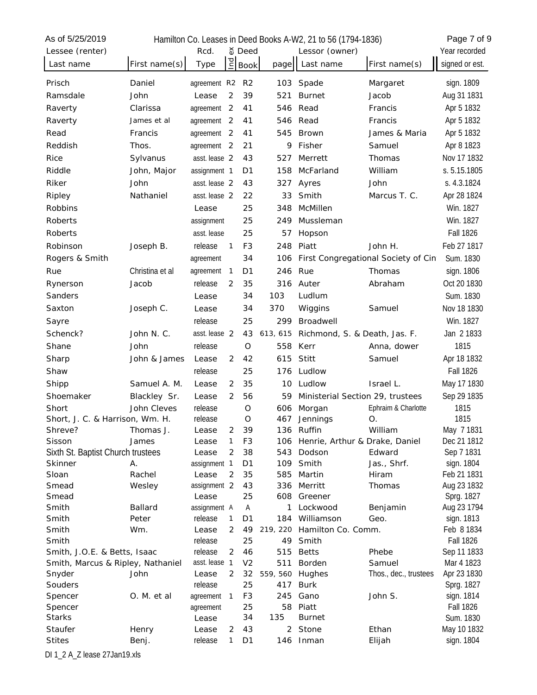| As of 5/25/2019                          |                             |                    |                |                |              | Hamilton Co. Leases in Deed Books A-W2, 21 to 56 (1794-1836) |                                     | Page 7 of 9                     |
|------------------------------------------|-----------------------------|--------------------|----------------|----------------|--------------|--------------------------------------------------------------|-------------------------------------|---------------------------------|
| Lessee (renter)                          |                             | Rcd.               |                | จั Deed        |              | Lessor (owner)                                               |                                     | Year recorded                   |
| Last name                                | First name(s)               | Type               | $\overline{C}$ | <b>Book</b>    | page         | Last name                                                    | First name(s)                       | signed or est.                  |
| Prisch                                   | Daniel                      | agreement R2       |                | R <sub>2</sub> | 103          | Spade                                                        | Margaret                            | sign. 1809                      |
| Ramsdale                                 | John                        | Lease              | $\overline{2}$ | 39             | 521          | <b>Burnet</b>                                                | Jacob                               | Aug 31 1831                     |
| Raverty                                  | Clarissa                    | agreement          | $\overline{2}$ | 41             | 546          | Read                                                         | Francis                             | Apr 5 1832                      |
| Raverty                                  | James et al                 | agreement          | 2              | 41             | 546          | Read                                                         | Francis                             | Apr 5 1832                      |
| Read                                     | Francis                     | agreement          | 2              | 41             | 545          | <b>Brown</b>                                                 | James & Maria                       | Apr 5 1832                      |
| Reddish                                  | Thos.                       | agreement          | 2              | 21             | 9            | Fisher                                                       | Samuel                              | Apr 8 1823                      |
| Rice                                     | Sylvanus                    | asst. lease 2      |                | 43             | 527          | Merrett                                                      | Thomas                              | Nov 17 1832                     |
| Riddle                                   | John, Major                 | assignment 1       |                | D <sub>1</sub> | 158          | McFarland                                                    | William                             | s. 5.15.1805                    |
| Riker                                    | John                        | asst. lease 2      |                | 43             | 327          | Ayres                                                        | John                                | s. 4.3.1824                     |
| Ripley                                   | Nathaniel                   | asst. lease 2      |                | 22             | 33           | Smith                                                        | Marcus T. C.                        | Apr 28 1824                     |
| Robbins                                  |                             | Lease              |                | 25             | 348          | McMillen                                                     |                                     | Win. 1827                       |
| Roberts                                  |                             | assignment         |                | 25             | 249          | Mussleman                                                    |                                     | Win. 1827                       |
| Roberts                                  |                             | asst. lease        |                | 25             | 57           | Hopson                                                       |                                     | <b>Fall 1826</b>                |
| Robinson                                 | Joseph B.                   | release            | 1              | F <sub>3</sub> | 248          | Piatt                                                        | John H.                             | Feb 27 1817                     |
| Rogers & Smith                           |                             | agreement          |                | 34             | 106          |                                                              | First Congregational Society of Cin | Sum. 1830                       |
| Rue                                      | Christina et al             | agreement          | 1              | D <sub>1</sub> | 246          | Rue                                                          | Thomas                              | sign. 1806                      |
| Rynerson                                 | Jacob                       | release            | 2              | 35             | 316          | Auter                                                        | Abraham                             | Oct 20 1830                     |
| Sanders                                  |                             | Lease              |                | 34             | 103          | Ludlum                                                       |                                     | Sum. 1830                       |
| Saxton                                   | Joseph C.                   | Lease              |                | 34             | 370          | Wiggins                                                      | Samuel                              | Nov 18 1830                     |
| Sayre                                    |                             | release            |                | 25             | 299          | Broadwell                                                    |                                     | Win. 1827                       |
| Schenck?                                 | John N. C.                  | asst. lease 2      |                | 43             | 613, 615     | Richmond, S. & Death, Jas. F.                                |                                     | Jan 2 1833                      |
| Shane                                    | John                        | release            |                | $\circ$        | 558          | Kerr                                                         | Anna, dower                         | 1815                            |
|                                          |                             |                    | 2              |                | 615          | Stitt                                                        | Samuel                              |                                 |
| Sharp                                    | John & James                | Lease              |                | 42             |              | Ludlow                                                       |                                     | Apr 18 1832<br><b>Fall 1826</b> |
| Shaw                                     |                             | release            |                | 25             | 176          |                                                              |                                     |                                 |
| Shipp                                    | Samuel A. M.                | Lease              | 2              | 35             | 10           | Ludlow                                                       | Israel L.                           | May 17 1830                     |
| Shoemaker                                | Blackley Sr.<br>John Cleves | Lease              | 2              | 56             | 59           | Ministerial Section 29, trustees                             |                                     | Sep 29 1835                     |
| Short<br>Short, J. C. & Harrison, Wm. H. |                             | release<br>release |                | O<br>O         | 606<br>467   | Morgan<br>Jennings                                           | Ephraim & Charlotte<br>Ο.           | 1815<br>1815                    |
| Shreve?                                  | Thomas J.                   | Lease              | 2              | 39             |              | 136 Ruffin                                                   | William                             | May 7 1831                      |
| Sisson                                   | James                       | Lease              | 1              | F <sub>3</sub> | 106          | Henrie, Arthur & Drake, Daniel                               |                                     | Dec 21 1812                     |
| Sixth St. Baptist Church trustees        |                             | Lease              | 2              | 38             | 543          | Dodson                                                       | Edward                              | Sep 7 1831                      |
| Skinner                                  | А.                          | assignment 1       |                | D <sub>1</sub> | 109          | Smith                                                        | Jas., Shrf.                         | sign. 1804                      |
| Sloan                                    | Rachel                      | Lease              | 2              | 35             | 585          | Martin                                                       | Hiram                               | Feb 21 1831                     |
| Smead                                    | Wesley                      | assignment 2       |                | 43             | 336          | Merritt                                                      | Thomas                              | Aug 23 1832                     |
| Smead                                    |                             | Lease              |                | 25             | 608          | Greener                                                      |                                     | Sprg. 1827                      |
| Smith                                    | <b>Ballard</b>              | assignment A       |                | А              | 1            | Lockwood                                                     | Benjamin                            | Aug 23 1794                     |
| Smith                                    | Peter                       | release            | 1              | D1             | 184          | Williamson                                                   | Geo.                                | sign. 1813                      |
| Smith                                    | Wm.                         | Lease<br>release   | 2              | 49<br>25       | 219, 220     | Hamilton Co. Comm.                                           |                                     | Feb 8 1834<br><b>Fall 1826</b>  |
| Smith<br>Smith, J.O.E. & Betts, Isaac    |                             | release            | 2              | 46             | 49<br>515    | Smith<br><b>Betts</b>                                        | Phebe                               | Sep 11 1833                     |
| Smith, Marcus & Ripley, Nathaniel        |                             | asst. lease 1      |                | V <sub>2</sub> | 511          | Borden                                                       | Samuel                              | Mar 4 1823                      |
| Snyder                                   | John                        | Lease              | 2              | 32             | 559, 560     | Hughes                                                       | Thos., dec., trustees               | Apr 23 1830                     |
| Souders                                  |                             | release            |                | 25             | 417          | Burk                                                         |                                     | Sprg. 1827                      |
| Spencer                                  | O. M. et al                 | agreement          | $\mathbf{1}$   | F <sub>3</sub> | 245          | Gano                                                         | John S.                             | sign. 1814                      |
| Spencer                                  |                             | agreement          |                | 25             | 58           | Piatt                                                        |                                     | <b>Fall 1826</b>                |
| Starks                                   |                             | Lease              |                | 34             | 135          | <b>Burnet</b>                                                |                                     | Sum. 1830                       |
| Staufer                                  | Henry                       | Lease              | 2              | 43             | $\mathbf{2}$ | Stone                                                        | Ethan                               | May 10 1832                     |
| <b>Stites</b>                            | Benj.                       | release            | 1              | D <sub>1</sub> |              | 146 Inman                                                    | Elijah                              | sign. 1804                      |

DI 1\_2 A\_Z lease 27Jan19.xls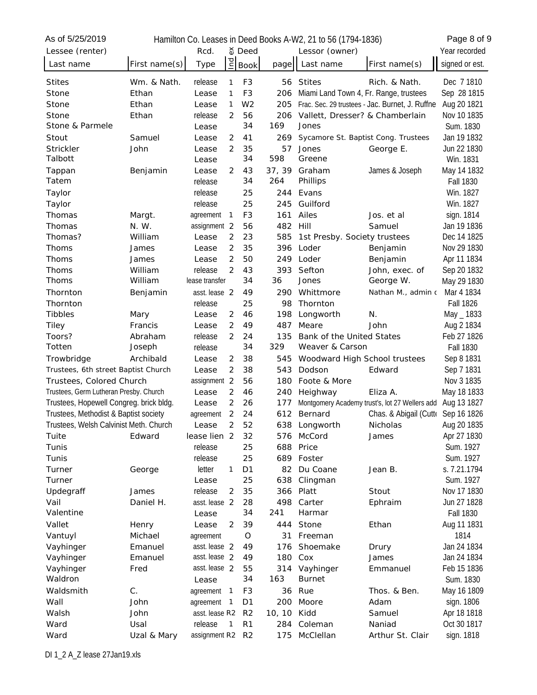| As of 5/25/2019                         |               |                |                |                |        | Hamilton Co. Leases in Deed Books A-W2, 21 to 56 (1794-1836) |                                                 | Page 8 of 9      |
|-----------------------------------------|---------------|----------------|----------------|----------------|--------|--------------------------------------------------------------|-------------------------------------------------|------------------|
| Lessee (renter)                         |               | Rcd.           |                | จ์ Deed        |        | Lessor (owner)                                               |                                                 | Year recorded    |
| Last name                               | First name(s) | Type           | pq             | <b>Book</b>    | page   | Last name                                                    | First name(s)                                   | signed or est.   |
| <b>Stites</b>                           | Wm. & Nath.   | release        | 1              | F <sub>3</sub> |        | 56 Stites                                                    | Rich. & Nath.                                   | Dec 7 1810       |
| Stone                                   | Ethan         | Lease          | 1              | F <sub>3</sub> | 206    | Miami Land Town 4, Fr. Range, trustees                       |                                                 | Sep 28 1815      |
| Stone                                   | Ethan         | Lease          | 1              | W <sub>2</sub> | 205    |                                                              | Frac. Sec. 29 trustees - Jac. Burnet, J. Ruffne | Aug 20 1821      |
| Stone                                   | Ethan         | release        | 2              | 56             | 206    | Vallett, Dresser? & Chamberlain                              |                                                 | Nov 10 1835      |
| Stone & Parmele                         |               | Lease          |                | 34             | 169    | Jones                                                        |                                                 | Sum. 1830        |
| Stout                                   | Samuel        | Lease          | 2              | 41             | 269    | Sycamore St. Baptist Cong. Trustees                          |                                                 | Jan 19 1832      |
| Strickler                               | John          | Lease          | 2              | 35             | 57     | Jones                                                        | George E.                                       | Jun 22 1830      |
| Talbott                                 |               | Lease          |                | 34             | 598    | Greene                                                       |                                                 | Win. 1831        |
| Tappan                                  | Benjamin      | Lease          | 2              | 43             | 37, 39 | Graham                                                       | James & Joseph                                  | May 14 1832      |
| Tatem                                   |               | release        |                | 34             | 264    | Phillips                                                     |                                                 | <b>Fall 1830</b> |
| Taylor                                  |               | release        |                | 25             | 244    | Evans                                                        |                                                 | Win. 1827        |
| Taylor                                  |               | release        |                | 25             | 245    | Guilford                                                     |                                                 | Win. 1827        |
| Thomas                                  | Margt.        | agreement      | 1              | F <sub>3</sub> | 161    | Ailes                                                        | Jos. et al                                      | sign. 1814       |
| Thomas                                  | N. W.         | assignment 2   |                | 56             | 482    | Hill                                                         | Samuel                                          | Jan 19 1836      |
| Thomas?                                 | William       | Lease          | 2              | 23             | 585    | 1st Presby. Society trustees                                 |                                                 | Dec 14 1825      |
| Thoms                                   | James         | Lease          | 2              | 35             | 396    | Loder                                                        | Benjamin                                        | Nov 29 1830      |
| Thoms                                   | James         | Lease          | 2              | 50             | 249.   | Loder                                                        | Benjamin                                        | Apr 11 1834      |
| Thoms                                   | William       | release        | 2              | 43             | 393    | Sefton                                                       | John, exec. of                                  | Sep 20 1832      |
| Thoms                                   | William       | lease transfer |                | 34             | 36     | Jones                                                        | George W.                                       | May 29 1830      |
| Thornton                                | Benjamin      | asst. lease 2  |                | 49             | 290    | Whittmore                                                    | Nathan M., admin c                              | Mar 4 1834       |
| Thornton                                |               | release        |                | 25             | 98     | Thornton                                                     |                                                 | <b>Fall 1826</b> |
| <b>Tibbles</b>                          | Mary          | Lease          | 2              | 46             | 198    | Longworth                                                    | N.                                              | May _ 1833       |
| <b>Tiley</b>                            | Francis       | Lease          | 2              | 49             | 487    | Meare                                                        | John                                            | Aug 2 1834       |
| Toors?                                  | Abraham       | release        | 2              | 24             | 135    | Bank of the United States                                    |                                                 | Feb 27 1826      |
| Totten                                  | Joseph        | release        |                | 34             | 329    | Weaver & Carson                                              |                                                 | <b>Fall 1830</b> |
| Trowbridge                              | Archibald     | Lease          | 2              | 38             | 545    | Woodward High School trustees                                |                                                 | Sep 8 1831       |
| Trustees, 6th street Baptist Church     |               | Lease          | 2              | 38             | 543    | Dodson                                                       | Edward                                          | Sep 7 1831       |
| Trustees, Colored Church                |               | assignment 2   |                | 56             | 180    | Foote & More                                                 |                                                 | Nov 3 1835       |
| Trustees, Germ Lutheran Presby. Church  |               | Lease          | 2              | 46             | 240    | Heighway                                                     | Eliza A.                                        | May 18 1833      |
| Trustees, Hopewell Congreg. brick bldg. |               | Lease          | 2              | 26             | 177    |                                                              | Montgomery Academy trust's, lot 27 Wellers add  | Aug 13 1827      |
| Trustees, Methodist & Baptist society   |               | agreement      | $\overline{2}$ | 24             | 612    | Bernard                                                      | Chas. & Abigail (Cutte Sep 16 1826              |                  |
| Trustees, Welsh Calvinist Meth. Church  |               | Lease          |                | 52             |        | 638 Longworth                                                | Nicholas                                        | Aug 20 1835      |
| Tuite                                   | Edward        | lease lien 2   |                | 32             |        | 576 McCord                                                   | James                                           | Apr 27 1830      |
| Tunis                                   |               | release        |                | 25             | 688    | Price                                                        |                                                 | Sum. 1927        |
| Tunis                                   |               | release        |                | 25             | 689    | Foster                                                       |                                                 | Sum. 1927        |
| Turner                                  | George        | letter         | 1              | D <sub>1</sub> | 82     | Du Coane                                                     | Jean B.                                         | s. 7.21.1794     |
| Turner                                  |               | Lease          |                | 25             | 638    | Clingman                                                     |                                                 | Sum. 1927        |
| Updegraff                               | James         | release        | 2              | 35             | 366    | Platt                                                        | Stout                                           | Nov 17 1830      |
| Vail                                    | Daniel H.     | asst. lease 2  |                | 28             | 498    | Carter                                                       | Ephraim                                         | Jun 27 1828      |
| Valentine                               |               | Lease          |                | 34             | 241    | Harmar                                                       |                                                 | <b>Fall 1830</b> |
| Vallet                                  | Henry         | Lease          | 2              | 39             | 444    | Stone                                                        | Ethan                                           | Aug 11 1831      |
| Vantuyl                                 | Michael       | agreement      |                | $\circ$        | 31     | Freeman                                                      |                                                 | 1814             |
| Vayhinger                               | Emanuel       | asst. lease 2  |                | 49             | 176    | Shoemake                                                     | Drury                                           | Jan 24 1834      |
| Vayhinger                               | Emanuel       | asst. lease 2  |                | 49             | 180    | Cox                                                          | James                                           | Jan 24 1834      |
| Vayhinger                               | Fred          | asst. lease 2  |                | 55             | 314    | Vayhinger                                                    | Emmanuel                                        | Feb 15 1836      |
| Waldron                                 |               | Lease          |                | 34             | 163    | <b>Burnet</b>                                                |                                                 | Sum. 1830        |
| Waldsmith                               | C.            | agreement      | $\overline{1}$ | F3             | 36     | Rue                                                          | Thos. & Ben.                                    | May 16 1809      |
| Wall                                    | John          | agreement      | 1              | D <sub>1</sub> | 200    | Moore                                                        | Adam                                            | sign. 1806       |
| Walsh                                   | John          | asst. lease R2 |                | R <sub>2</sub> | 10, 10 | Kidd                                                         | Samuel                                          | Apr 18 1818      |
| Ward                                    | Usal          | release        | 1              | R <sub>1</sub> | 284    | Coleman                                                      | Naniad                                          | Oct 30 1817      |
| Ward                                    | Uzal & Mary   | assignment R2  |                | R <sub>2</sub> | 175    | McClellan                                                    | Arthur St. Clair                                | sign. 1818       |